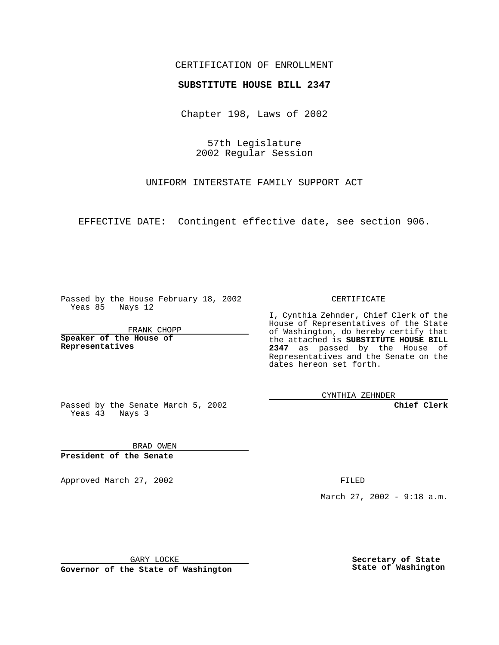## CERTIFICATION OF ENROLLMENT

# **SUBSTITUTE HOUSE BILL 2347**

Chapter 198, Laws of 2002

57th Legislature 2002 Regular Session

UNIFORM INTERSTATE FAMILY SUPPORT ACT

EFFECTIVE DATE: Contingent effective date, see section 906.

Passed by the House February 18, 2002 Yeas 85 Nays 12

FRANK CHOPP

**Speaker of the House of Representatives**

CERTIFICATE

I, Cynthia Zehnder, Chief Clerk of the House of Representatives of the State of Washington, do hereby certify that the attached is **SUBSTITUTE HOUSE BILL 2347** as passed by the House of Representatives and the Senate on the dates hereon set forth.

CYNTHIA ZEHNDER

**Chief Clerk**

Passed by the Senate March 5, 2002 Yeas 43 Nays 3

BRAD OWEN **President of the Senate**

Approved March 27, 2002 **FILED** 

March 27, 2002 - 9:18 a.m.

GARY LOCKE

**Governor of the State of Washington**

**Secretary of State State of Washington**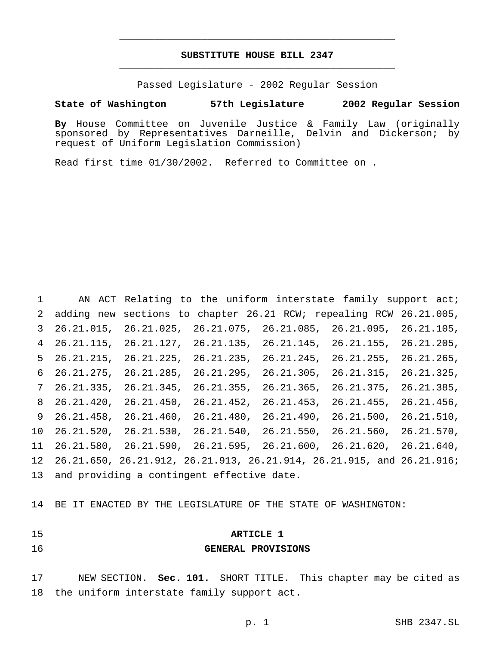# **SUBSTITUTE HOUSE BILL 2347** \_\_\_\_\_\_\_\_\_\_\_\_\_\_\_\_\_\_\_\_\_\_\_\_\_\_\_\_\_\_\_\_\_\_\_\_\_\_\_\_\_\_\_\_\_\_\_

\_\_\_\_\_\_\_\_\_\_\_\_\_\_\_\_\_\_\_\_\_\_\_\_\_\_\_\_\_\_\_\_\_\_\_\_\_\_\_\_\_\_\_\_\_\_\_

Passed Legislature - 2002 Regular Session

### **State of Washington 57th Legislature 2002 Regular Session**

**By** House Committee on Juvenile Justice & Family Law (originally sponsored by Representatives Darneille, Delvin and Dickerson; by request of Uniform Legislation Commission)

Read first time 01/30/2002. Referred to Committee on .

1 AN ACT Relating to the uniform interstate family support act; adding new sections to chapter 26.21 RCW; repealing RCW 26.21.005, 26.21.015, 26.21.025, 26.21.075, 26.21.085, 26.21.095, 26.21.105, 26.21.115, 26.21.127, 26.21.135, 26.21.145, 26.21.155, 26.21.205, 26.21.215, 26.21.225, 26.21.235, 26.21.245, 26.21.255, 26.21.265, 26.21.275, 26.21.285, 26.21.295, 26.21.305, 26.21.315, 26.21.325, 26.21.335, 26.21.345, 26.21.355, 26.21.365, 26.21.375, 26.21.385, 26.21.420, 26.21.450, 26.21.452, 26.21.453, 26.21.455, 26.21.456, 26.21.458, 26.21.460, 26.21.480, 26.21.490, 26.21.500, 26.21.510, 26.21.520, 26.21.530, 26.21.540, 26.21.550, 26.21.560, 26.21.570, 26.21.580, 26.21.590, 26.21.595, 26.21.600, 26.21.620, 26.21.640, 26.21.650, 26.21.912, 26.21.913, 26.21.914, 26.21.915, and 26.21.916; and providing a contingent effective date.

BE IT ENACTED BY THE LEGISLATURE OF THE STATE OF WASHINGTON:

# **ARTICLE 1**

### **GENERAL PROVISIONS**

 NEW SECTION. **Sec. 101.** SHORT TITLE. This chapter may be cited as the uniform interstate family support act.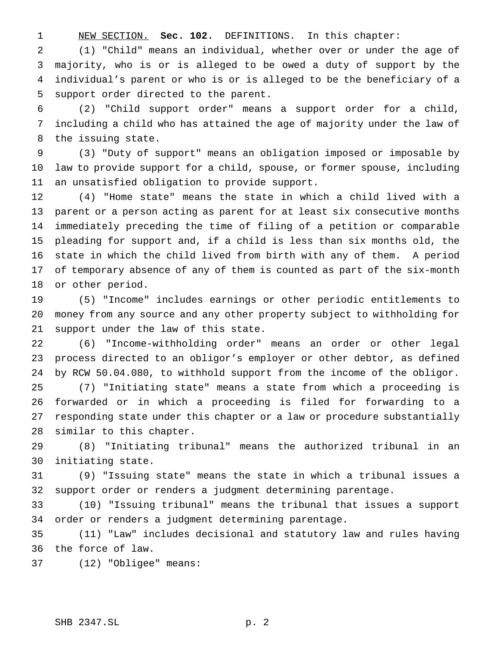NEW SECTION. **Sec. 102.** DEFINITIONS. In this chapter:

 (1) "Child" means an individual, whether over or under the age of majority, who is or is alleged to be owed a duty of support by the individual's parent or who is or is alleged to be the beneficiary of a support order directed to the parent.

 (2) "Child support order" means a support order for a child, including a child who has attained the age of majority under the law of the issuing state.

 (3) "Duty of support" means an obligation imposed or imposable by law to provide support for a child, spouse, or former spouse, including an unsatisfied obligation to provide support.

 (4) "Home state" means the state in which a child lived with a parent or a person acting as parent for at least six consecutive months immediately preceding the time of filing of a petition or comparable pleading for support and, if a child is less than six months old, the state in which the child lived from birth with any of them. A period of temporary absence of any of them is counted as part of the six-month or other period.

 (5) "Income" includes earnings or other periodic entitlements to money from any source and any other property subject to withholding for support under the law of this state.

 (6) "Income-withholding order" means an order or other legal process directed to an obligor's employer or other debtor, as defined by RCW 50.04.080, to withhold support from the income of the obligor. (7) "Initiating state" means a state from which a proceeding is forwarded or in which a proceeding is filed for forwarding to a responding state under this chapter or a law or procedure substantially similar to this chapter.

 (8) "Initiating tribunal" means the authorized tribunal in an initiating state.

 (9) "Issuing state" means the state in which a tribunal issues a support order or renders a judgment determining parentage.

 (10) "Issuing tribunal" means the tribunal that issues a support order or renders a judgment determining parentage.

 (11) "Law" includes decisional and statutory law and rules having the force of law.

(12) "Obligee" means: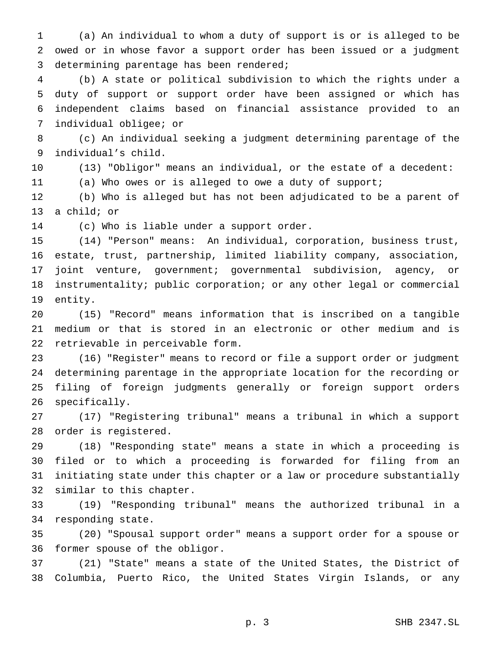(a) An individual to whom a duty of support is or is alleged to be owed or in whose favor a support order has been issued or a judgment determining parentage has been rendered;

 (b) A state or political subdivision to which the rights under a duty of support or support order have been assigned or which has independent claims based on financial assistance provided to an individual obligee; or

 (c) An individual seeking a judgment determining parentage of the individual's child.

 (13) "Obligor" means an individual, or the estate of a decedent: (a) Who owes or is alleged to owe a duty of support;

 (b) Who is alleged but has not been adjudicated to be a parent of a child; or

(c) Who is liable under a support order.

 (14) "Person" means: An individual, corporation, business trust, estate, trust, partnership, limited liability company, association, joint venture, government; governmental subdivision, agency, or instrumentality; public corporation; or any other legal or commercial entity.

 (15) "Record" means information that is inscribed on a tangible medium or that is stored in an electronic or other medium and is retrievable in perceivable form.

 (16) "Register" means to record or file a support order or judgment determining parentage in the appropriate location for the recording or filing of foreign judgments generally or foreign support orders specifically.

 (17) "Registering tribunal" means a tribunal in which a support order is registered.

 (18) "Responding state" means a state in which a proceeding is filed or to which a proceeding is forwarded for filing from an initiating state under this chapter or a law or procedure substantially similar to this chapter.

 (19) "Responding tribunal" means the authorized tribunal in a responding state.

 (20) "Spousal support order" means a support order for a spouse or former spouse of the obligor.

 (21) "State" means a state of the United States, the District of Columbia, Puerto Rico, the United States Virgin Islands, or any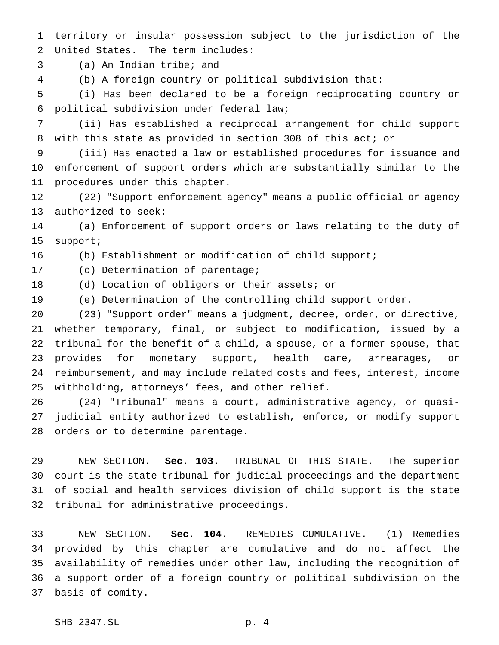territory or insular possession subject to the jurisdiction of the United States. The term includes:

(a) An Indian tribe; and

(b) A foreign country or political subdivision that:

 (i) Has been declared to be a foreign reciprocating country or political subdivision under federal law;

 (ii) Has established a reciprocal arrangement for child support with this state as provided in section 308 of this act; or

 (iii) Has enacted a law or established procedures for issuance and enforcement of support orders which are substantially similar to the procedures under this chapter.

 (22) "Support enforcement agency" means a public official or agency authorized to seek:

 (a) Enforcement of support orders or laws relating to the duty of support;

(b) Establishment or modification of child support;

(c) Determination of parentage;

(d) Location of obligors or their assets; or

(e) Determination of the controlling child support order.

 (23) "Support order" means a judgment, decree, order, or directive, whether temporary, final, or subject to modification, issued by a tribunal for the benefit of a child, a spouse, or a former spouse, that provides for monetary support, health care, arrearages, or reimbursement, and may include related costs and fees, interest, income withholding, attorneys' fees, and other relief.

 (24) "Tribunal" means a court, administrative agency, or quasi- judicial entity authorized to establish, enforce, or modify support orders or to determine parentage.

 NEW SECTION. **Sec. 103.** TRIBUNAL OF THIS STATE. The superior court is the state tribunal for judicial proceedings and the department of social and health services division of child support is the state tribunal for administrative proceedings.

 NEW SECTION. **Sec. 104.** REMEDIES CUMULATIVE. (1) Remedies provided by this chapter are cumulative and do not affect the availability of remedies under other law, including the recognition of a support order of a foreign country or political subdivision on the basis of comity.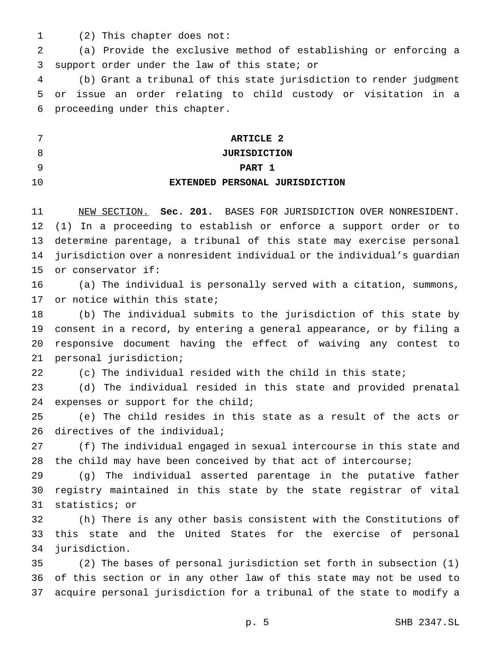- 
- (2) This chapter does not:

 (a) Provide the exclusive method of establishing or enforcing a support order under the law of this state; or

 (b) Grant a tribunal of this state jurisdiction to render judgment or issue an order relating to child custody or visitation in a proceeding under this chapter.

|    | ARTICLE 2                      |
|----|--------------------------------|
|    | <b>JURISDICTION</b>            |
|    | PART 1                         |
| 10 | EXTENDED PERSONAL JURISDICTION |

 NEW SECTION. **Sec. 201.** BASES FOR JURISDICTION OVER NONRESIDENT. (1) In a proceeding to establish or enforce a support order or to determine parentage, a tribunal of this state may exercise personal jurisdiction over a nonresident individual or the individual's guardian or conservator if:

 (a) The individual is personally served with a citation, summons, 17 or notice within this state;

 (b) The individual submits to the jurisdiction of this state by consent in a record, by entering a general appearance, or by filing a responsive document having the effect of waiving any contest to personal jurisdiction;

(c) The individual resided with the child in this state;

 (d) The individual resided in this state and provided prenatal expenses or support for the child;

 (e) The child resides in this state as a result of the acts or 26 directives of the individual;

 (f) The individual engaged in sexual intercourse in this state and the child may have been conceived by that act of intercourse;

 (g) The individual asserted parentage in the putative father registry maintained in this state by the state registrar of vital statistics; or

 (h) There is any other basis consistent with the Constitutions of this state and the United States for the exercise of personal jurisdiction.

 (2) The bases of personal jurisdiction set forth in subsection (1) of this section or in any other law of this state may not be used to acquire personal jurisdiction for a tribunal of the state to modify a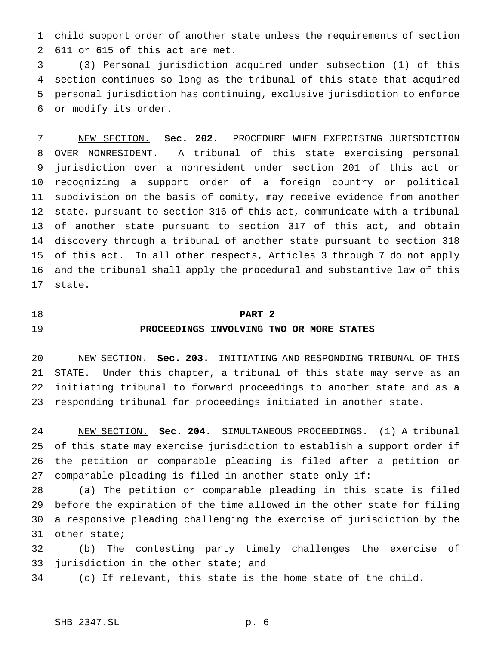child support order of another state unless the requirements of section 611 or 615 of this act are met.

 (3) Personal jurisdiction acquired under subsection (1) of this section continues so long as the tribunal of this state that acquired personal jurisdiction has continuing, exclusive jurisdiction to enforce or modify its order.

 NEW SECTION. **Sec. 202.** PROCEDURE WHEN EXERCISING JURISDICTION OVER NONRESIDENT. A tribunal of this state exercising personal jurisdiction over a nonresident under section 201 of this act or recognizing a support order of a foreign country or political subdivision on the basis of comity, may receive evidence from another state, pursuant to section 316 of this act, communicate with a tribunal of another state pursuant to section 317 of this act, and obtain discovery through a tribunal of another state pursuant to section 318 of this act. In all other respects, Articles 3 through 7 do not apply and the tribunal shall apply the procedural and substantive law of this state.

# **PART 2**

## **PROCEEDINGS INVOLVING TWO OR MORE STATES**

 NEW SECTION. **Sec. 203.** INITIATING AND RESPONDING TRIBUNAL OF THIS STATE. Under this chapter, a tribunal of this state may serve as an initiating tribunal to forward proceedings to another state and as a responding tribunal for proceedings initiated in another state.

 NEW SECTION. **Sec. 204.** SIMULTANEOUS PROCEEDINGS. (1) A tribunal of this state may exercise jurisdiction to establish a support order if the petition or comparable pleading is filed after a petition or comparable pleading is filed in another state only if:

 (a) The petition or comparable pleading in this state is filed before the expiration of the time allowed in the other state for filing a responsive pleading challenging the exercise of jurisdiction by the other state;

 (b) The contesting party timely challenges the exercise of jurisdiction in the other state; and

(c) If relevant, this state is the home state of the child.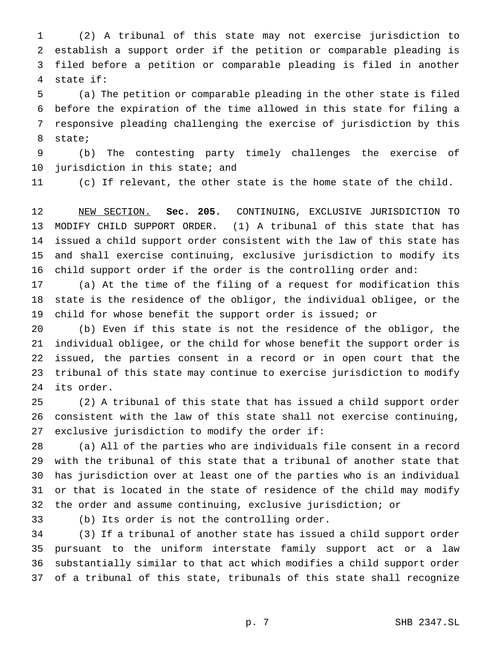(2) A tribunal of this state may not exercise jurisdiction to establish a support order if the petition or comparable pleading is filed before a petition or comparable pleading is filed in another state if:

 (a) The petition or comparable pleading in the other state is filed before the expiration of the time allowed in this state for filing a responsive pleading challenging the exercise of jurisdiction by this state;

 (b) The contesting party timely challenges the exercise of jurisdiction in this state; and

(c) If relevant, the other state is the home state of the child.

 NEW SECTION. **Sec. 205.** CONTINUING, EXCLUSIVE JURISDICTION TO MODIFY CHILD SUPPORT ORDER. (1) A tribunal of this state that has issued a child support order consistent with the law of this state has and shall exercise continuing, exclusive jurisdiction to modify its child support order if the order is the controlling order and:

 (a) At the time of the filing of a request for modification this state is the residence of the obligor, the individual obligee, or the child for whose benefit the support order is issued; or

 (b) Even if this state is not the residence of the obligor, the individual obligee, or the child for whose benefit the support order is issued, the parties consent in a record or in open court that the tribunal of this state may continue to exercise jurisdiction to modify its order.

 (2) A tribunal of this state that has issued a child support order consistent with the law of this state shall not exercise continuing, exclusive jurisdiction to modify the order if:

 (a) All of the parties who are individuals file consent in a record with the tribunal of this state that a tribunal of another state that has jurisdiction over at least one of the parties who is an individual or that is located in the state of residence of the child may modify the order and assume continuing, exclusive jurisdiction; or

(b) Its order is not the controlling order.

 (3) If a tribunal of another state has issued a child support order pursuant to the uniform interstate family support act or a law substantially similar to that act which modifies a child support order of a tribunal of this state, tribunals of this state shall recognize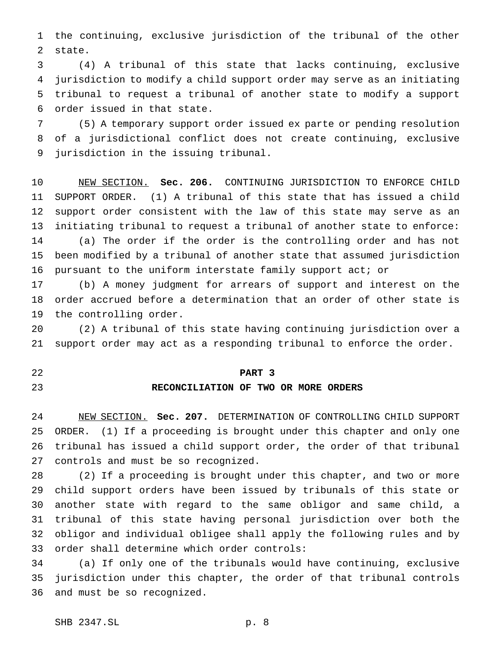the continuing, exclusive jurisdiction of the tribunal of the other state.

 (4) A tribunal of this state that lacks continuing, exclusive jurisdiction to modify a child support order may serve as an initiating tribunal to request a tribunal of another state to modify a support order issued in that state.

 (5) A temporary support order issued ex parte or pending resolution of a jurisdictional conflict does not create continuing, exclusive jurisdiction in the issuing tribunal.

 NEW SECTION. **Sec. 206.** CONTINUING JURISDICTION TO ENFORCE CHILD SUPPORT ORDER. (1) A tribunal of this state that has issued a child support order consistent with the law of this state may serve as an initiating tribunal to request a tribunal of another state to enforce: (a) The order if the order is the controlling order and has not been modified by a tribunal of another state that assumed jurisdiction pursuant to the uniform interstate family support act; or

 (b) A money judgment for arrears of support and interest on the order accrued before a determination that an order of other state is the controlling order.

 (2) A tribunal of this state having continuing jurisdiction over a support order may act as a responding tribunal to enforce the order.

**PART 3**

## **RECONCILIATION OF TWO OR MORE ORDERS**

 NEW SECTION. **Sec. 207.** DETERMINATION OF CONTROLLING CHILD SUPPORT ORDER. (1) If a proceeding is brought under this chapter and only one tribunal has issued a child support order, the order of that tribunal controls and must be so recognized.

 (2) If a proceeding is brought under this chapter, and two or more child support orders have been issued by tribunals of this state or another state with regard to the same obligor and same child, a tribunal of this state having personal jurisdiction over both the obligor and individual obligee shall apply the following rules and by order shall determine which order controls:

 (a) If only one of the tribunals would have continuing, exclusive jurisdiction under this chapter, the order of that tribunal controls and must be so recognized.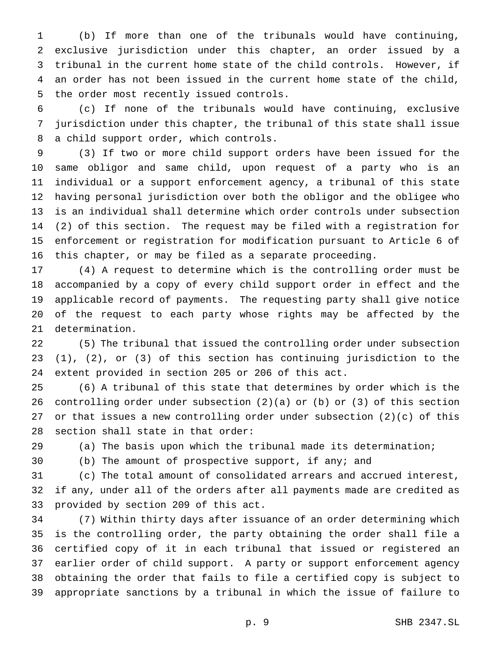(b) If more than one of the tribunals would have continuing, exclusive jurisdiction under this chapter, an order issued by a tribunal in the current home state of the child controls. However, if an order has not been issued in the current home state of the child, the order most recently issued controls.

 (c) If none of the tribunals would have continuing, exclusive jurisdiction under this chapter, the tribunal of this state shall issue a child support order, which controls.

 (3) If two or more child support orders have been issued for the same obligor and same child, upon request of a party who is an individual or a support enforcement agency, a tribunal of this state having personal jurisdiction over both the obligor and the obligee who is an individual shall determine which order controls under subsection (2) of this section. The request may be filed with a registration for enforcement or registration for modification pursuant to Article 6 of this chapter, or may be filed as a separate proceeding.

 (4) A request to determine which is the controlling order must be accompanied by a copy of every child support order in effect and the applicable record of payments. The requesting party shall give notice of the request to each party whose rights may be affected by the determination.

 (5) The tribunal that issued the controlling order under subsection (1), (2), or (3) of this section has continuing jurisdiction to the extent provided in section 205 or 206 of this act.

 (6) A tribunal of this state that determines by order which is the controlling order under subsection (2)(a) or (b) or (3) of this section or that issues a new controlling order under subsection (2)(c) of this section shall state in that order:

(a) The basis upon which the tribunal made its determination;

(b) The amount of prospective support, if any; and

 (c) The total amount of consolidated arrears and accrued interest, if any, under all of the orders after all payments made are credited as provided by section 209 of this act.

 (7) Within thirty days after issuance of an order determining which is the controlling order, the party obtaining the order shall file a certified copy of it in each tribunal that issued or registered an earlier order of child support. A party or support enforcement agency obtaining the order that fails to file a certified copy is subject to appropriate sanctions by a tribunal in which the issue of failure to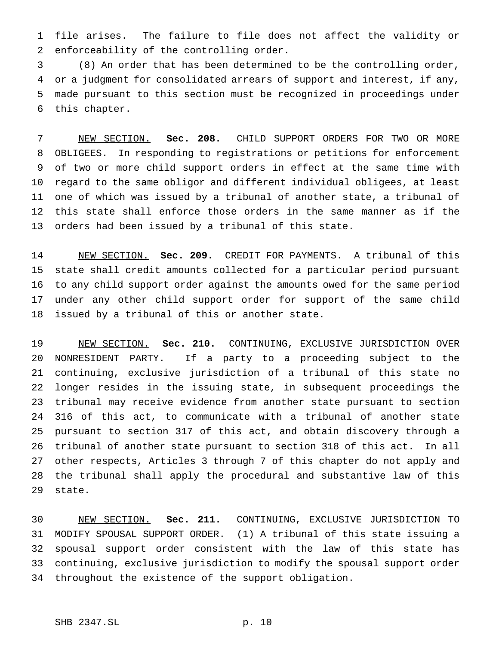file arises. The failure to file does not affect the validity or enforceability of the controlling order.

 (8) An order that has been determined to be the controlling order, or a judgment for consolidated arrears of support and interest, if any, made pursuant to this section must be recognized in proceedings under this chapter.

 NEW SECTION. **Sec. 208.** CHILD SUPPORT ORDERS FOR TWO OR MORE OBLIGEES. In responding to registrations or petitions for enforcement of two or more child support orders in effect at the same time with regard to the same obligor and different individual obligees, at least one of which was issued by a tribunal of another state, a tribunal of this state shall enforce those orders in the same manner as if the orders had been issued by a tribunal of this state.

 NEW SECTION. **Sec. 209.** CREDIT FOR PAYMENTS. A tribunal of this state shall credit amounts collected for a particular period pursuant to any child support order against the amounts owed for the same period under any other child support order for support of the same child issued by a tribunal of this or another state.

 NEW SECTION. **Sec. 210.** CONTINUING, EXCLUSIVE JURISDICTION OVER NONRESIDENT PARTY. If a party to a proceeding subject to the continuing, exclusive jurisdiction of a tribunal of this state no longer resides in the issuing state, in subsequent proceedings the tribunal may receive evidence from another state pursuant to section 316 of this act, to communicate with a tribunal of another state pursuant to section 317 of this act, and obtain discovery through a tribunal of another state pursuant to section 318 of this act. In all other respects, Articles 3 through 7 of this chapter do not apply and the tribunal shall apply the procedural and substantive law of this state.

 NEW SECTION. **Sec. 211.** CONTINUING, EXCLUSIVE JURISDICTION TO MODIFY SPOUSAL SUPPORT ORDER. (1) A tribunal of this state issuing a spousal support order consistent with the law of this state has continuing, exclusive jurisdiction to modify the spousal support order throughout the existence of the support obligation.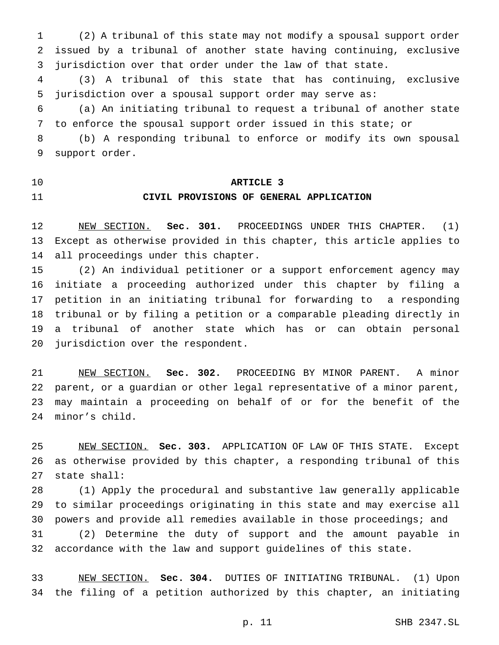(2) A tribunal of this state may not modify a spousal support order issued by a tribunal of another state having continuing, exclusive jurisdiction over that order under the law of that state.

 (3) A tribunal of this state that has continuing, exclusive jurisdiction over a spousal support order may serve as:

 (a) An initiating tribunal to request a tribunal of another state to enforce the spousal support order issued in this state; or

 (b) A responding tribunal to enforce or modify its own spousal support order.

### **ARTICLE 3**

## **CIVIL PROVISIONS OF GENERAL APPLICATION**

 NEW SECTION. **Sec. 301.** PROCEEDINGS UNDER THIS CHAPTER. (1) Except as otherwise provided in this chapter, this article applies to all proceedings under this chapter.

 (2) An individual petitioner or a support enforcement agency may initiate a proceeding authorized under this chapter by filing a petition in an initiating tribunal for forwarding to a responding tribunal or by filing a petition or a comparable pleading directly in a tribunal of another state which has or can obtain personal jurisdiction over the respondent.

 NEW SECTION. **Sec. 302.** PROCEEDING BY MINOR PARENT. A minor parent, or a guardian or other legal representative of a minor parent, may maintain a proceeding on behalf of or for the benefit of the minor's child.

 NEW SECTION. **Sec. 303.** APPLICATION OF LAW OF THIS STATE. Except as otherwise provided by this chapter, a responding tribunal of this state shall:

 (1) Apply the procedural and substantive law generally applicable to similar proceedings originating in this state and may exercise all powers and provide all remedies available in those proceedings; and (2) Determine the duty of support and the amount payable in accordance with the law and support guidelines of this state.

 NEW SECTION. **Sec. 304.** DUTIES OF INITIATING TRIBUNAL. (1) Upon the filing of a petition authorized by this chapter, an initiating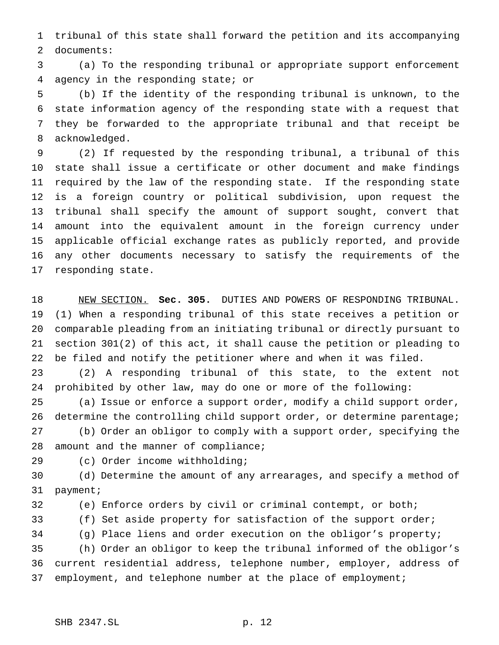tribunal of this state shall forward the petition and its accompanying documents:

 (a) To the responding tribunal or appropriate support enforcement agency in the responding state; or

 (b) If the identity of the responding tribunal is unknown, to the state information agency of the responding state with a request that they be forwarded to the appropriate tribunal and that receipt be acknowledged.

 (2) If requested by the responding tribunal, a tribunal of this state shall issue a certificate or other document and make findings required by the law of the responding state. If the responding state is a foreign country or political subdivision, upon request the tribunal shall specify the amount of support sought, convert that amount into the equivalent amount in the foreign currency under applicable official exchange rates as publicly reported, and provide any other documents necessary to satisfy the requirements of the responding state.

 NEW SECTION. **Sec. 305.** DUTIES AND POWERS OF RESPONDING TRIBUNAL. (1) When a responding tribunal of this state receives a petition or comparable pleading from an initiating tribunal or directly pursuant to section 301(2) of this act, it shall cause the petition or pleading to be filed and notify the petitioner where and when it was filed.

 (2) A responding tribunal of this state, to the extent not prohibited by other law, may do one or more of the following:

 (a) Issue or enforce a support order, modify a child support order, 26 determine the controlling child support order, or determine parentage; (b) Order an obligor to comply with a support order, specifying the 28 amount and the manner of compliance;

(c) Order income withholding;

 (d) Determine the amount of any arrearages, and specify a method of payment;

(e) Enforce orders by civil or criminal contempt, or both;

(f) Set aside property for satisfaction of the support order;

(g) Place liens and order execution on the obligor's property;

 (h) Order an obligor to keep the tribunal informed of the obligor's current residential address, telephone number, employer, address of 37 employment, and telephone number at the place of employment;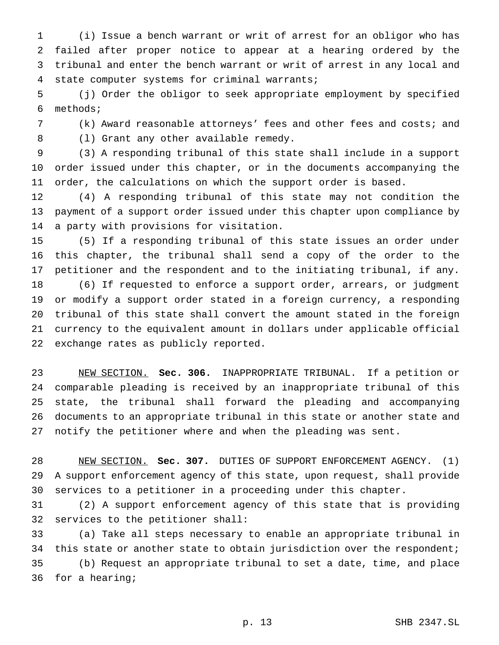(i) Issue a bench warrant or writ of arrest for an obligor who has failed after proper notice to appear at a hearing ordered by the tribunal and enter the bench warrant or writ of arrest in any local and state computer systems for criminal warrants;

 (j) Order the obligor to seek appropriate employment by specified methods;

 (k) Award reasonable attorneys' fees and other fees and costs; and (l) Grant any other available remedy.

 (3) A responding tribunal of this state shall include in a support order issued under this chapter, or in the documents accompanying the order, the calculations on which the support order is based.

 (4) A responding tribunal of this state may not condition the payment of a support order issued under this chapter upon compliance by a party with provisions for visitation.

 (5) If a responding tribunal of this state issues an order under this chapter, the tribunal shall send a copy of the order to the petitioner and the respondent and to the initiating tribunal, if any. (6) If requested to enforce a support order, arrears, or judgment or modify a support order stated in a foreign currency, a responding tribunal of this state shall convert the amount stated in the foreign currency to the equivalent amount in dollars under applicable official exchange rates as publicly reported.

 NEW SECTION. **Sec. 306.** INAPPROPRIATE TRIBUNAL. If a petition or comparable pleading is received by an inappropriate tribunal of this state, the tribunal shall forward the pleading and accompanying documents to an appropriate tribunal in this state or another state and notify the petitioner where and when the pleading was sent.

 NEW SECTION. **Sec. 307.** DUTIES OF SUPPORT ENFORCEMENT AGENCY. (1) A support enforcement agency of this state, upon request, shall provide services to a petitioner in a proceeding under this chapter.

 (2) A support enforcement agency of this state that is providing services to the petitioner shall:

 (a) Take all steps necessary to enable an appropriate tribunal in 34 this state or another state to obtain jurisdiction over the respondent; (b) Request an appropriate tribunal to set a date, time, and place for a hearing;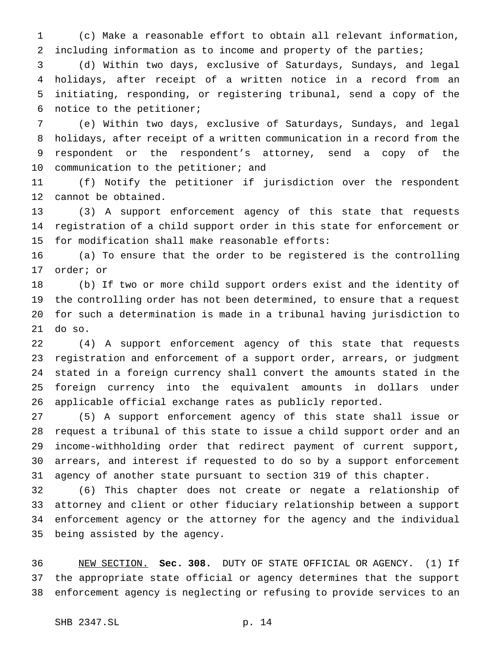(c) Make a reasonable effort to obtain all relevant information, including information as to income and property of the parties;

 (d) Within two days, exclusive of Saturdays, Sundays, and legal holidays, after receipt of a written notice in a record from an initiating, responding, or registering tribunal, send a copy of the notice to the petitioner;

 (e) Within two days, exclusive of Saturdays, Sundays, and legal holidays, after receipt of a written communication in a record from the respondent or the respondent's attorney, send a copy of the 10 communication to the petitioner; and

 (f) Notify the petitioner if jurisdiction over the respondent cannot be obtained.

 (3) A support enforcement agency of this state that requests registration of a child support order in this state for enforcement or for modification shall make reasonable efforts:

 (a) To ensure that the order to be registered is the controlling order; or

 (b) If two or more child support orders exist and the identity of the controlling order has not been determined, to ensure that a request for such a determination is made in a tribunal having jurisdiction to do so.

 (4) A support enforcement agency of this state that requests registration and enforcement of a support order, arrears, or judgment stated in a foreign currency shall convert the amounts stated in the foreign currency into the equivalent amounts in dollars under applicable official exchange rates as publicly reported.

 (5) A support enforcement agency of this state shall issue or request a tribunal of this state to issue a child support order and an income-withholding order that redirect payment of current support, arrears, and interest if requested to do so by a support enforcement agency of another state pursuant to section 319 of this chapter.

 (6) This chapter does not create or negate a relationship of attorney and client or other fiduciary relationship between a support enforcement agency or the attorney for the agency and the individual being assisted by the agency.

 NEW SECTION. **Sec. 308.** DUTY OF STATE OFFICIAL OR AGENCY. (1) If the appropriate state official or agency determines that the support enforcement agency is neglecting or refusing to provide services to an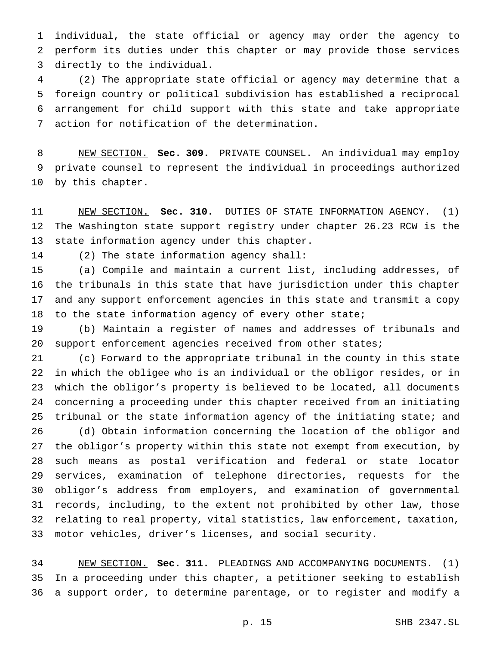individual, the state official or agency may order the agency to perform its duties under this chapter or may provide those services directly to the individual.

 (2) The appropriate state official or agency may determine that a foreign country or political subdivision has established a reciprocal arrangement for child support with this state and take appropriate action for notification of the determination.

 NEW SECTION. **Sec. 309.** PRIVATE COUNSEL. An individual may employ private counsel to represent the individual in proceedings authorized by this chapter.

 NEW SECTION. **Sec. 310.** DUTIES OF STATE INFORMATION AGENCY. (1) The Washington state support registry under chapter 26.23 RCW is the state information agency under this chapter.

(2) The state information agency shall:

 (a) Compile and maintain a current list, including addresses, of the tribunals in this state that have jurisdiction under this chapter and any support enforcement agencies in this state and transmit a copy 18 to the state information agency of every other state;

 (b) Maintain a register of names and addresses of tribunals and support enforcement agencies received from other states;

 (c) Forward to the appropriate tribunal in the county in this state in which the obligee who is an individual or the obligor resides, or in which the obligor's property is believed to be located, all documents concerning a proceeding under this chapter received from an initiating 25 tribunal or the state information agency of the initiating state; and

 (d) Obtain information concerning the location of the obligor and the obligor's property within this state not exempt from execution, by such means as postal verification and federal or state locator services, examination of telephone directories, requests for the obligor's address from employers, and examination of governmental records, including, to the extent not prohibited by other law, those relating to real property, vital statistics, law enforcement, taxation, motor vehicles, driver's licenses, and social security.

 NEW SECTION. **Sec. 311.** PLEADINGS AND ACCOMPANYING DOCUMENTS. (1) In a proceeding under this chapter, a petitioner seeking to establish a support order, to determine parentage, or to register and modify a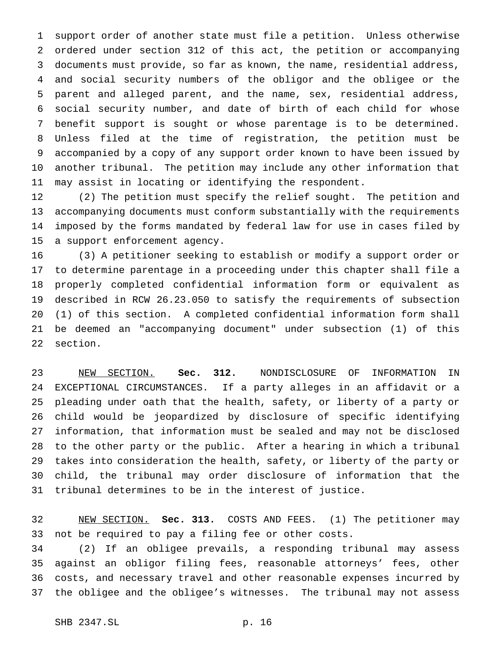support order of another state must file a petition. Unless otherwise ordered under section 312 of this act, the petition or accompanying documents must provide, so far as known, the name, residential address, and social security numbers of the obligor and the obligee or the parent and alleged parent, and the name, sex, residential address, social security number, and date of birth of each child for whose benefit support is sought or whose parentage is to be determined. Unless filed at the time of registration, the petition must be accompanied by a copy of any support order known to have been issued by another tribunal. The petition may include any other information that may assist in locating or identifying the respondent.

 (2) The petition must specify the relief sought. The petition and accompanying documents must conform substantially with the requirements imposed by the forms mandated by federal law for use in cases filed by a support enforcement agency.

 (3) A petitioner seeking to establish or modify a support order or to determine parentage in a proceeding under this chapter shall file a properly completed confidential information form or equivalent as described in RCW 26.23.050 to satisfy the requirements of subsection (1) of this section. A completed confidential information form shall be deemed an "accompanying document" under subsection (1) of this section.

 NEW SECTION. **Sec. 312.** NONDISCLOSURE OF INFORMATION IN EXCEPTIONAL CIRCUMSTANCES. If a party alleges in an affidavit or a pleading under oath that the health, safety, or liberty of a party or child would be jeopardized by disclosure of specific identifying information, that information must be sealed and may not be disclosed to the other party or the public. After a hearing in which a tribunal takes into consideration the health, safety, or liberty of the party or child, the tribunal may order disclosure of information that the tribunal determines to be in the interest of justice.

 NEW SECTION. **Sec. 313.** COSTS AND FEES. (1) The petitioner may not be required to pay a filing fee or other costs.

 (2) If an obligee prevails, a responding tribunal may assess against an obligor filing fees, reasonable attorneys' fees, other costs, and necessary travel and other reasonable expenses incurred by the obligee and the obligee's witnesses. The tribunal may not assess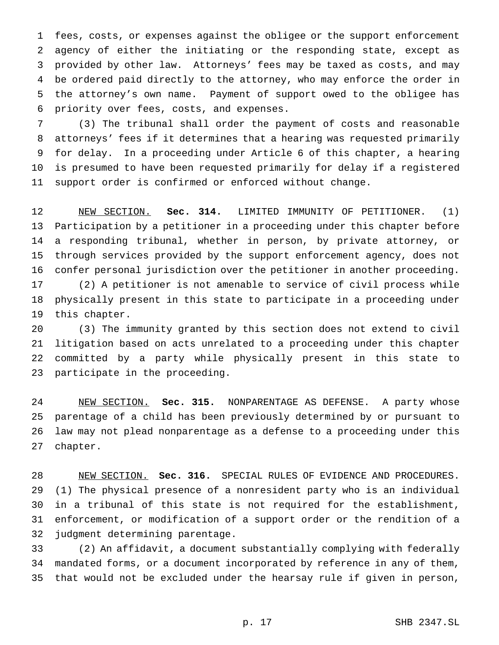fees, costs, or expenses against the obligee or the support enforcement agency of either the initiating or the responding state, except as provided by other law. Attorneys' fees may be taxed as costs, and may be ordered paid directly to the attorney, who may enforce the order in the attorney's own name. Payment of support owed to the obligee has priority over fees, costs, and expenses.

 (3) The tribunal shall order the payment of costs and reasonable attorneys' fees if it determines that a hearing was requested primarily for delay. In a proceeding under Article 6 of this chapter, a hearing is presumed to have been requested primarily for delay if a registered support order is confirmed or enforced without change.

 NEW SECTION. **Sec. 314.** LIMITED IMMUNITY OF PETITIONER. (1) Participation by a petitioner in a proceeding under this chapter before a responding tribunal, whether in person, by private attorney, or through services provided by the support enforcement agency, does not confer personal jurisdiction over the petitioner in another proceeding. (2) A petitioner is not amenable to service of civil process while

 physically present in this state to participate in a proceeding under this chapter.

 (3) The immunity granted by this section does not extend to civil litigation based on acts unrelated to a proceeding under this chapter committed by a party while physically present in this state to participate in the proceeding.

 NEW SECTION. **Sec. 315.** NONPARENTAGE AS DEFENSE. A party whose parentage of a child has been previously determined by or pursuant to law may not plead nonparentage as a defense to a proceeding under this chapter.

 NEW SECTION. **Sec. 316.** SPECIAL RULES OF EVIDENCE AND PROCEDURES. (1) The physical presence of a nonresident party who is an individual in a tribunal of this state is not required for the establishment, enforcement, or modification of a support order or the rendition of a judgment determining parentage.

 (2) An affidavit, a document substantially complying with federally mandated forms, or a document incorporated by reference in any of them, that would not be excluded under the hearsay rule if given in person,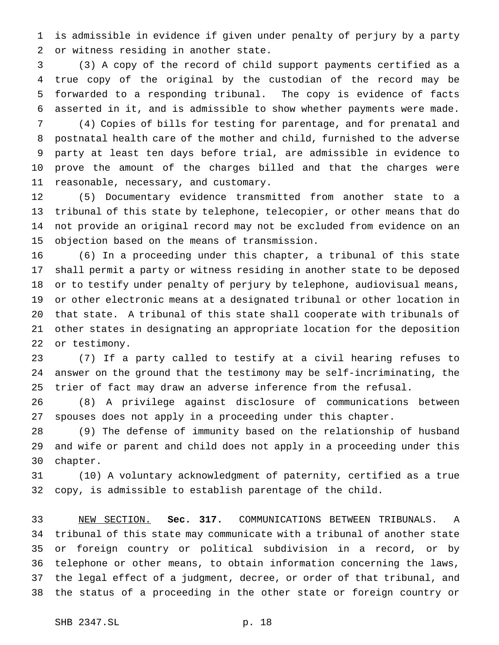is admissible in evidence if given under penalty of perjury by a party or witness residing in another state.

 (3) A copy of the record of child support payments certified as a true copy of the original by the custodian of the record may be forwarded to a responding tribunal. The copy is evidence of facts asserted in it, and is admissible to show whether payments were made.

 (4) Copies of bills for testing for parentage, and for prenatal and postnatal health care of the mother and child, furnished to the adverse party at least ten days before trial, are admissible in evidence to prove the amount of the charges billed and that the charges were reasonable, necessary, and customary.

 (5) Documentary evidence transmitted from another state to a tribunal of this state by telephone, telecopier, or other means that do not provide an original record may not be excluded from evidence on an objection based on the means of transmission.

 (6) In a proceeding under this chapter, a tribunal of this state shall permit a party or witness residing in another state to be deposed or to testify under penalty of perjury by telephone, audiovisual means, or other electronic means at a designated tribunal or other location in that state. A tribunal of this state shall cooperate with tribunals of other states in designating an appropriate location for the deposition or testimony.

 (7) If a party called to testify at a civil hearing refuses to answer on the ground that the testimony may be self-incriminating, the trier of fact may draw an adverse inference from the refusal.

 (8) A privilege against disclosure of communications between spouses does not apply in a proceeding under this chapter.

 (9) The defense of immunity based on the relationship of husband and wife or parent and child does not apply in a proceeding under this chapter.

 (10) A voluntary acknowledgment of paternity, certified as a true copy, is admissible to establish parentage of the child.

 NEW SECTION. **Sec. 317.** COMMUNICATIONS BETWEEN TRIBUNALS. A tribunal of this state may communicate with a tribunal of another state or foreign country or political subdivision in a record, or by telephone or other means, to obtain information concerning the laws, the legal effect of a judgment, decree, or order of that tribunal, and the status of a proceeding in the other state or foreign country or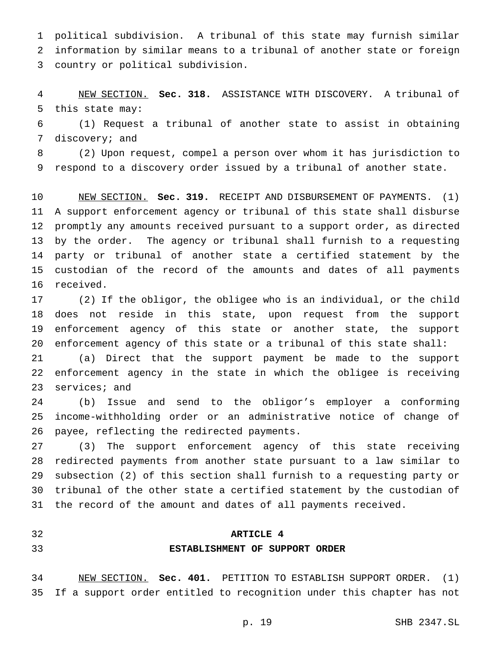political subdivision. A tribunal of this state may furnish similar information by similar means to a tribunal of another state or foreign country or political subdivision.

 NEW SECTION. **Sec. 318.** ASSISTANCE WITH DISCOVERY. A tribunal of this state may:

 (1) Request a tribunal of another state to assist in obtaining discovery; and

 (2) Upon request, compel a person over whom it has jurisdiction to respond to a discovery order issued by a tribunal of another state.

 NEW SECTION. **Sec. 319.** RECEIPT AND DISBURSEMENT OF PAYMENTS. (1) A support enforcement agency or tribunal of this state shall disburse promptly any amounts received pursuant to a support order, as directed by the order. The agency or tribunal shall furnish to a requesting party or tribunal of another state a certified statement by the custodian of the record of the amounts and dates of all payments received.

 (2) If the obligor, the obligee who is an individual, or the child does not reside in this state, upon request from the support enforcement agency of this state or another state, the support enforcement agency of this state or a tribunal of this state shall:

 (a) Direct that the support payment be made to the support enforcement agency in the state in which the obligee is receiving services; and

 (b) Issue and send to the obligor's employer a conforming income-withholding order or an administrative notice of change of payee, reflecting the redirected payments.

 (3) The support enforcement agency of this state receiving redirected payments from another state pursuant to a law similar to subsection (2) of this section shall furnish to a requesting party or tribunal of the other state a certified statement by the custodian of the record of the amount and dates of all payments received.

## **ARTICLE 4**

## **ESTABLISHMENT OF SUPPORT ORDER**

 NEW SECTION. **Sec. 401.** PETITION TO ESTABLISH SUPPORT ORDER. (1) If a support order entitled to recognition under this chapter has not

p. 19 SHB 2347.SL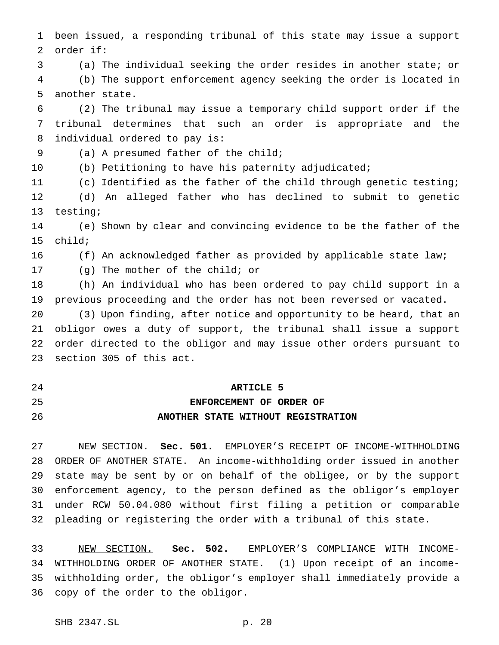been issued, a responding tribunal of this state may issue a support order if:

(a) The individual seeking the order resides in another state; or

 (b) The support enforcement agency seeking the order is located in another state.

 (2) The tribunal may issue a temporary child support order if the tribunal determines that such an order is appropriate and the individual ordered to pay is:

(a) A presumed father of the child;

(b) Petitioning to have his paternity adjudicated;

(c) Identified as the father of the child through genetic testing;

 (d) An alleged father who has declined to submit to genetic testing;

 (e) Shown by clear and convincing evidence to be the father of the child;

(f) An acknowledged father as provided by applicable state law;

(g) The mother of the child; or

 (h) An individual who has been ordered to pay child support in a previous proceeding and the order has not been reversed or vacated.

 (3) Upon finding, after notice and opportunity to be heard, that an obligor owes a duty of support, the tribunal shall issue a support order directed to the obligor and may issue other orders pursuant to section 305 of this act.

## **ARTICLE 5**

# **ENFORCEMENT OF ORDER OF ANOTHER STATE WITHOUT REGISTRATION**

 NEW SECTION. **Sec. 501.** EMPLOYER'S RECEIPT OF INCOME-WITHHOLDING ORDER OF ANOTHER STATE. An income-withholding order issued in another state may be sent by or on behalf of the obligee, or by the support enforcement agency, to the person defined as the obligor's employer under RCW 50.04.080 without first filing a petition or comparable pleading or registering the order with a tribunal of this state.

 NEW SECTION. **Sec. 502.** EMPLOYER'S COMPLIANCE WITH INCOME- WITHHOLDING ORDER OF ANOTHER STATE. (1) Upon receipt of an income- withholding order, the obligor's employer shall immediately provide a copy of the order to the obligor.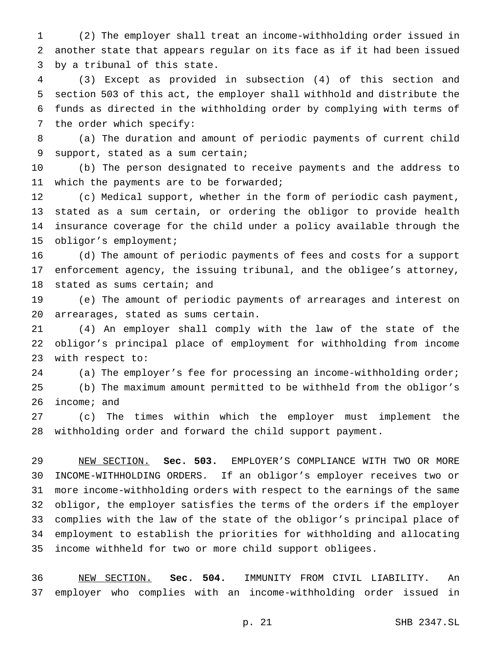(2) The employer shall treat an income-withholding order issued in another state that appears regular on its face as if it had been issued by a tribunal of this state.

 (3) Except as provided in subsection (4) of this section and section 503 of this act, the employer shall withhold and distribute the funds as directed in the withholding order by complying with terms of the order which specify:

 (a) The duration and amount of periodic payments of current child support, stated as a sum certain;

 (b) The person designated to receive payments and the address to 11 which the payments are to be forwarded;

 (c) Medical support, whether in the form of periodic cash payment, stated as a sum certain, or ordering the obligor to provide health insurance coverage for the child under a policy available through the obligor's employment;

 (d) The amount of periodic payments of fees and costs for a support enforcement agency, the issuing tribunal, and the obligee's attorney, stated as sums certain; and

 (e) The amount of periodic payments of arrearages and interest on arrearages, stated as sums certain.

 (4) An employer shall comply with the law of the state of the obligor's principal place of employment for withholding from income with respect to:

24 (a) The employer's fee for processing an income-withholding order;

 (b) The maximum amount permitted to be withheld from the obligor's income; and

 (c) The times within which the employer must implement the withholding order and forward the child support payment.

 NEW SECTION. **Sec. 503.** EMPLOYER'S COMPLIANCE WITH TWO OR MORE INCOME-WITHHOLDING ORDERS. If an obligor's employer receives two or more income-withholding orders with respect to the earnings of the same obligor, the employer satisfies the terms of the orders if the employer complies with the law of the state of the obligor's principal place of employment to establish the priorities for withholding and allocating income withheld for two or more child support obligees.

 NEW SECTION. **Sec. 504.** IMMUNITY FROM CIVIL LIABILITY. An employer who complies with an income-withholding order issued in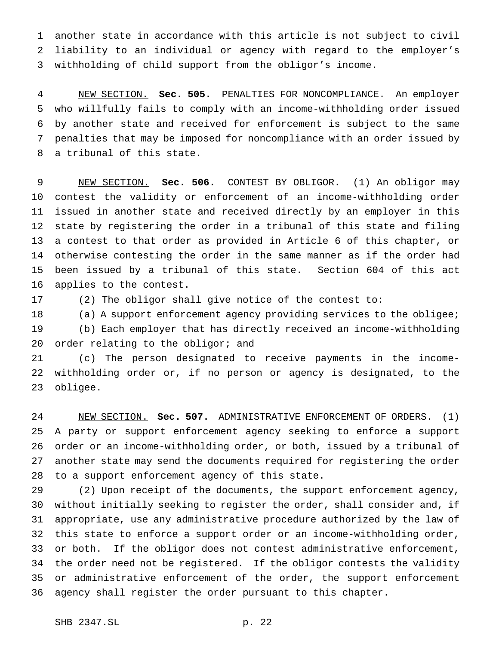another state in accordance with this article is not subject to civil liability to an individual or agency with regard to the employer's withholding of child support from the obligor's income.

 NEW SECTION. **Sec. 505.** PENALTIES FOR NONCOMPLIANCE. An employer who willfully fails to comply with an income-withholding order issued by another state and received for enforcement is subject to the same penalties that may be imposed for noncompliance with an order issued by a tribunal of this state.

 NEW SECTION. **Sec. 506.** CONTEST BY OBLIGOR. (1) An obligor may contest the validity or enforcement of an income-withholding order issued in another state and received directly by an employer in this state by registering the order in a tribunal of this state and filing a contest to that order as provided in Article 6 of this chapter, or otherwise contesting the order in the same manner as if the order had been issued by a tribunal of this state. Section 604 of this act applies to the contest.

(2) The obligor shall give notice of the contest to:

 (a) A support enforcement agency providing services to the obligee; (b) Each employer that has directly received an income-withholding 20 order relating to the obligor; and

 (c) The person designated to receive payments in the income- withholding order or, if no person or agency is designated, to the obligee.

 NEW SECTION. **Sec. 507.** ADMINISTRATIVE ENFORCEMENT OF ORDERS. (1) A party or support enforcement agency seeking to enforce a support order or an income-withholding order, or both, issued by a tribunal of another state may send the documents required for registering the order to a support enforcement agency of this state.

 (2) Upon receipt of the documents, the support enforcement agency, without initially seeking to register the order, shall consider and, if appropriate, use any administrative procedure authorized by the law of this state to enforce a support order or an income-withholding order, or both. If the obligor does not contest administrative enforcement, the order need not be registered. If the obligor contests the validity or administrative enforcement of the order, the support enforcement agency shall register the order pursuant to this chapter.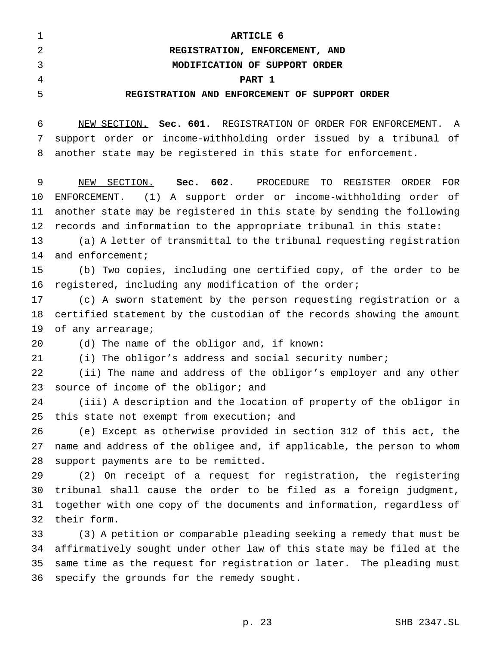|                | ARTICLE 6                                     |
|----------------|-----------------------------------------------|
|                | REGISTRATION, ENFORCEMENT, AND                |
| 3              | MODIFICATION OF SUPPORT ORDER                 |
| $\overline{4}$ | PART 1                                        |
| -5             | REGISTRATION AND ENFORCEMENT OF SUPPORT ORDER |

 NEW SECTION. **Sec. 601.** REGISTRATION OF ORDER FOR ENFORCEMENT. A support order or income-withholding order issued by a tribunal of another state may be registered in this state for enforcement.

 NEW SECTION. **Sec. 602.** PROCEDURE TO REGISTER ORDER FOR ENFORCEMENT. (1) A support order or income-withholding order of another state may be registered in this state by sending the following records and information to the appropriate tribunal in this state:

 (a) A letter of transmittal to the tribunal requesting registration 14 and enforcement;

 (b) Two copies, including one certified copy, of the order to be registered, including any modification of the order;

 (c) A sworn statement by the person requesting registration or a certified statement by the custodian of the records showing the amount 19 of any arrearage;

(d) The name of the obligor and, if known:

(i) The obligor's address and social security number;

 (ii) The name and address of the obligor's employer and any other 23 source of income of the obligor; and

 (iii) A description and the location of property of the obligor in 25 this state not exempt from execution; and

 (e) Except as otherwise provided in section 312 of this act, the name and address of the obligee and, if applicable, the person to whom support payments are to be remitted.

 (2) On receipt of a request for registration, the registering tribunal shall cause the order to be filed as a foreign judgment, together with one copy of the documents and information, regardless of their form.

 (3) A petition or comparable pleading seeking a remedy that must be affirmatively sought under other law of this state may be filed at the same time as the request for registration or later. The pleading must specify the grounds for the remedy sought.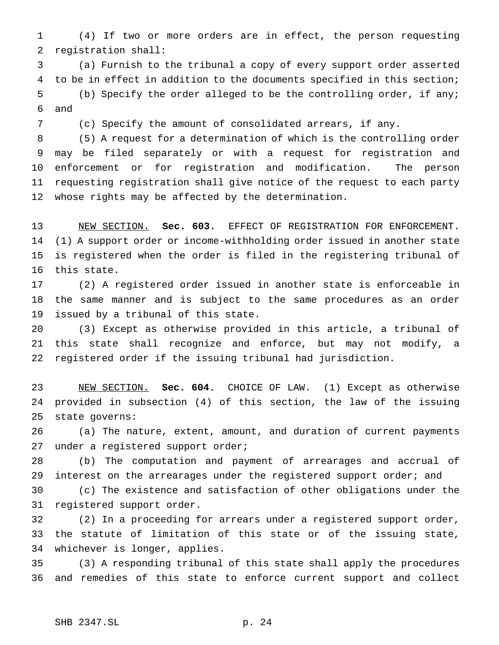(4) If two or more orders are in effect, the person requesting registration shall:

 (a) Furnish to the tribunal a copy of every support order asserted to be in effect in addition to the documents specified in this section; (b) Specify the order alleged to be the controlling order, if any; and

(c) Specify the amount of consolidated arrears, if any.

 (5) A request for a determination of which is the controlling order may be filed separately or with a request for registration and enforcement or for registration and modification. The person requesting registration shall give notice of the request to each party whose rights may be affected by the determination.

 NEW SECTION. **Sec. 603.** EFFECT OF REGISTRATION FOR ENFORCEMENT. (1) A support order or income-withholding order issued in another state is registered when the order is filed in the registering tribunal of this state.

 (2) A registered order issued in another state is enforceable in the same manner and is subject to the same procedures as an order issued by a tribunal of this state.

 (3) Except as otherwise provided in this article, a tribunal of this state shall recognize and enforce, but may not modify, a registered order if the issuing tribunal had jurisdiction.

 NEW SECTION. **Sec. 604.** CHOICE OF LAW. (1) Except as otherwise provided in subsection (4) of this section, the law of the issuing state governs:

 (a) The nature, extent, amount, and duration of current payments 27 under a registered support order;

 (b) The computation and payment of arrearages and accrual of 29 interest on the arrearages under the registered support order; and

 (c) The existence and satisfaction of other obligations under the registered support order.

 (2) In a proceeding for arrears under a registered support order, the statute of limitation of this state or of the issuing state, whichever is longer, applies.

 (3) A responding tribunal of this state shall apply the procedures and remedies of this state to enforce current support and collect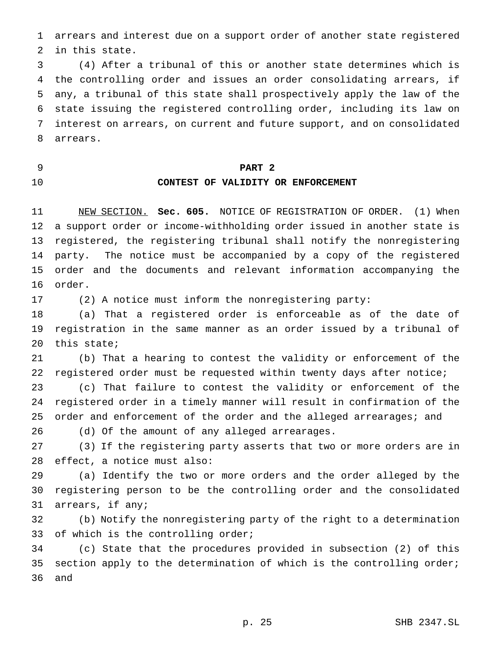arrears and interest due on a support order of another state registered in this state.

 (4) After a tribunal of this or another state determines which is the controlling order and issues an order consolidating arrears, if any, a tribunal of this state shall prospectively apply the law of the state issuing the registered controlling order, including its law on interest on arrears, on current and future support, and on consolidated arrears.

## **PART 2**

## **CONTEST OF VALIDITY OR ENFORCEMENT**

 NEW SECTION. **Sec. 605.** NOTICE OF REGISTRATION OF ORDER. (1) When a support order or income-withholding order issued in another state is registered, the registering tribunal shall notify the nonregistering party. The notice must be accompanied by a copy of the registered order and the documents and relevant information accompanying the order.

(2) A notice must inform the nonregistering party:

 (a) That a registered order is enforceable as of the date of registration in the same manner as an order issued by a tribunal of this state;

 (b) That a hearing to contest the validity or enforcement of the registered order must be requested within twenty days after notice;

 (c) That failure to contest the validity or enforcement of the registered order in a timely manner will result in confirmation of the order and enforcement of the order and the alleged arrearages; and (d) Of the amount of any alleged arrearages.

 (3) If the registering party asserts that two or more orders are in effect, a notice must also:

 (a) Identify the two or more orders and the order alleged by the registering person to be the controlling order and the consolidated arrears, if any;

 (b) Notify the nonregistering party of the right to a determination 33 of which is the controlling order;

 (c) State that the procedures provided in subsection (2) of this 35 section apply to the determination of which is the controlling order; and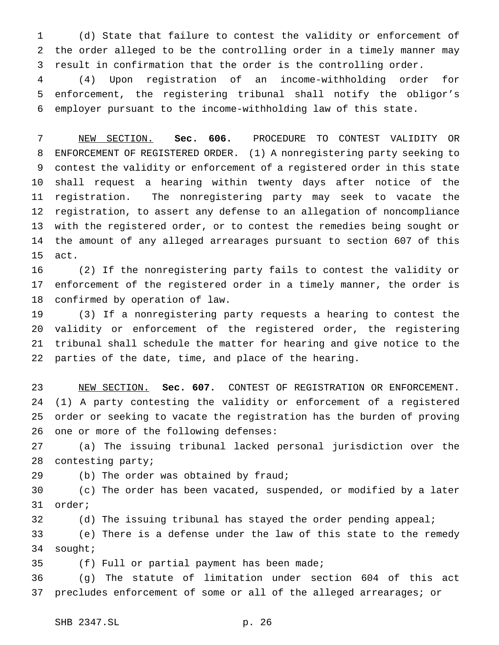(d) State that failure to contest the validity or enforcement of the order alleged to be the controlling order in a timely manner may result in confirmation that the order is the controlling order.

 (4) Upon registration of an income-withholding order for enforcement, the registering tribunal shall notify the obligor's employer pursuant to the income-withholding law of this state.

 NEW SECTION. **Sec. 606.** PROCEDURE TO CONTEST VALIDITY OR ENFORCEMENT OF REGISTERED ORDER. (1) A nonregistering party seeking to contest the validity or enforcement of a registered order in this state shall request a hearing within twenty days after notice of the registration. The nonregistering party may seek to vacate the registration, to assert any defense to an allegation of noncompliance with the registered order, or to contest the remedies being sought or the amount of any alleged arrearages pursuant to section 607 of this act.

 (2) If the nonregistering party fails to contest the validity or enforcement of the registered order in a timely manner, the order is confirmed by operation of law.

 (3) If a nonregistering party requests a hearing to contest the validity or enforcement of the registered order, the registering tribunal shall schedule the matter for hearing and give notice to the parties of the date, time, and place of the hearing.

 NEW SECTION. **Sec. 607.** CONTEST OF REGISTRATION OR ENFORCEMENT. (1) A party contesting the validity or enforcement of a registered order or seeking to vacate the registration has the burden of proving one or more of the following defenses:

 (a) The issuing tribunal lacked personal jurisdiction over the contesting party;

(b) The order was obtained by fraud;

 (c) The order has been vacated, suspended, or modified by a later order;

(d) The issuing tribunal has stayed the order pending appeal;

 (e) There is a defense under the law of this state to the remedy sought;

(f) Full or partial payment has been made;

 (g) The statute of limitation under section 604 of this act precludes enforcement of some or all of the alleged arrearages; or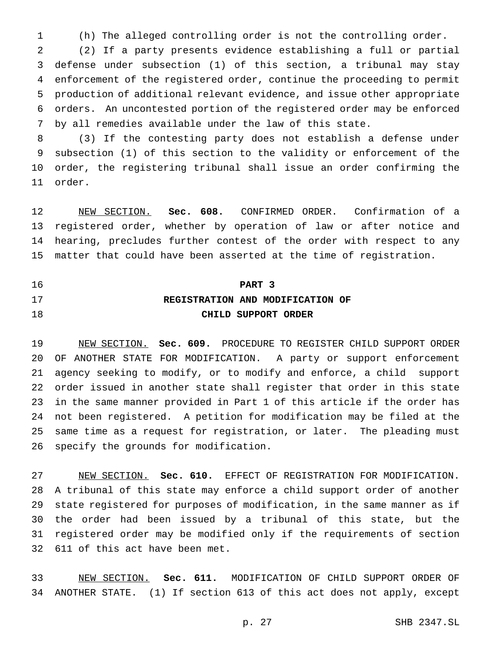(h) The alleged controlling order is not the controlling order.

 (2) If a party presents evidence establishing a full or partial defense under subsection (1) of this section, a tribunal may stay enforcement of the registered order, continue the proceeding to permit production of additional relevant evidence, and issue other appropriate orders. An uncontested portion of the registered order may be enforced by all remedies available under the law of this state.

 (3) If the contesting party does not establish a defense under subsection (1) of this section to the validity or enforcement of the order, the registering tribunal shall issue an order confirming the order.

 NEW SECTION. **Sec. 608.** CONFIRMED ORDER. Confirmation of a registered order, whether by operation of law or after notice and hearing, precludes further contest of the order with respect to any matter that could have been asserted at the time of registration.

# **PART 3 REGISTRATION AND MODIFICATION OF CHILD SUPPORT ORDER**

 NEW SECTION. **Sec. 609.** PROCEDURE TO REGISTER CHILD SUPPORT ORDER OF ANOTHER STATE FOR MODIFICATION. A party or support enforcement agency seeking to modify, or to modify and enforce, a child support order issued in another state shall register that order in this state in the same manner provided in Part 1 of this article if the order has not been registered. A petition for modification may be filed at the same time as a request for registration, or later. The pleading must specify the grounds for modification.

 NEW SECTION. **Sec. 610.** EFFECT OF REGISTRATION FOR MODIFICATION. A tribunal of this state may enforce a child support order of another state registered for purposes of modification, in the same manner as if the order had been issued by a tribunal of this state, but the registered order may be modified only if the requirements of section 611 of this act have been met.

 NEW SECTION. **Sec. 611.** MODIFICATION OF CHILD SUPPORT ORDER OF ANOTHER STATE. (1) If section 613 of this act does not apply, except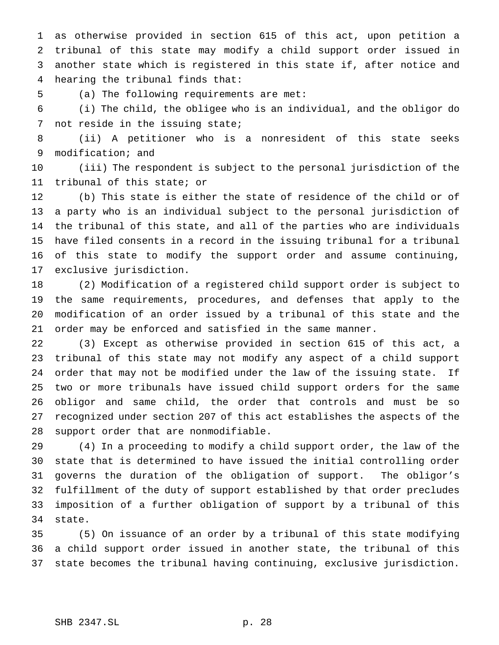as otherwise provided in section 615 of this act, upon petition a tribunal of this state may modify a child support order issued in another state which is registered in this state if, after notice and hearing the tribunal finds that:

(a) The following requirements are met:

 (i) The child, the obligee who is an individual, and the obligor do not reside in the issuing state;

 (ii) A petitioner who is a nonresident of this state seeks modification; and

 (iii) The respondent is subject to the personal jurisdiction of the tribunal of this state; or

 (b) This state is either the state of residence of the child or of a party who is an individual subject to the personal jurisdiction of the tribunal of this state, and all of the parties who are individuals have filed consents in a record in the issuing tribunal for a tribunal of this state to modify the support order and assume continuing, exclusive jurisdiction.

 (2) Modification of a registered child support order is subject to the same requirements, procedures, and defenses that apply to the modification of an order issued by a tribunal of this state and the order may be enforced and satisfied in the same manner.

 (3) Except as otherwise provided in section 615 of this act, a tribunal of this state may not modify any aspect of a child support order that may not be modified under the law of the issuing state. If two or more tribunals have issued child support orders for the same obligor and same child, the order that controls and must be so recognized under section 207 of this act establishes the aspects of the support order that are nonmodifiable.

 (4) In a proceeding to modify a child support order, the law of the state that is determined to have issued the initial controlling order governs the duration of the obligation of support. The obligor's fulfillment of the duty of support established by that order precludes imposition of a further obligation of support by a tribunal of this state.

 (5) On issuance of an order by a tribunal of this state modifying a child support order issued in another state, the tribunal of this state becomes the tribunal having continuing, exclusive jurisdiction.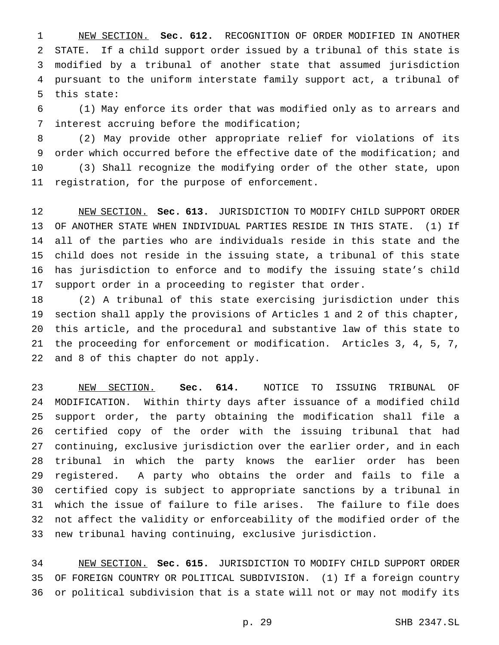NEW SECTION. **Sec. 612.** RECOGNITION OF ORDER MODIFIED IN ANOTHER STATE. If a child support order issued by a tribunal of this state is modified by a tribunal of another state that assumed jurisdiction pursuant to the uniform interstate family support act, a tribunal of this state:

 (1) May enforce its order that was modified only as to arrears and interest accruing before the modification;

 (2) May provide other appropriate relief for violations of its order which occurred before the effective date of the modification; and (3) Shall recognize the modifying order of the other state, upon registration, for the purpose of enforcement.

 NEW SECTION. **Sec. 613.** JURISDICTION TO MODIFY CHILD SUPPORT ORDER OF ANOTHER STATE WHEN INDIVIDUAL PARTIES RESIDE IN THIS STATE. (1) If all of the parties who are individuals reside in this state and the child does not reside in the issuing state, a tribunal of this state has jurisdiction to enforce and to modify the issuing state's child support order in a proceeding to register that order.

 (2) A tribunal of this state exercising jurisdiction under this section shall apply the provisions of Articles 1 and 2 of this chapter, this article, and the procedural and substantive law of this state to the proceeding for enforcement or modification. Articles 3, 4, 5, 7, and 8 of this chapter do not apply.

 NEW SECTION. **Sec. 614.** NOTICE TO ISSUING TRIBUNAL OF MODIFICATION. Within thirty days after issuance of a modified child support order, the party obtaining the modification shall file a certified copy of the order with the issuing tribunal that had continuing, exclusive jurisdiction over the earlier order, and in each tribunal in which the party knows the earlier order has been registered. A party who obtains the order and fails to file a certified copy is subject to appropriate sanctions by a tribunal in which the issue of failure to file arises. The failure to file does not affect the validity or enforceability of the modified order of the new tribunal having continuing, exclusive jurisdiction.

 NEW SECTION. **Sec. 615.** JURISDICTION TO MODIFY CHILD SUPPORT ORDER OF FOREIGN COUNTRY OR POLITICAL SUBDIVISION. (1) If a foreign country or political subdivision that is a state will not or may not modify its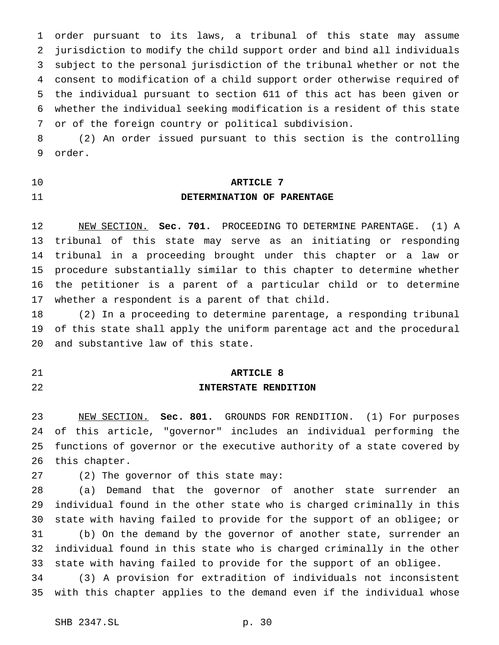order pursuant to its laws, a tribunal of this state may assume jurisdiction to modify the child support order and bind all individuals subject to the personal jurisdiction of the tribunal whether or not the consent to modification of a child support order otherwise required of the individual pursuant to section 611 of this act has been given or whether the individual seeking modification is a resident of this state or of the foreign country or political subdivision.

 (2) An order issued pursuant to this section is the controlling order.

# **ARTICLE 7 DETERMINATION OF PARENTAGE**

 NEW SECTION. **Sec. 701.** PROCEEDING TO DETERMINE PARENTAGE. (1) A tribunal of this state may serve as an initiating or responding tribunal in a proceeding brought under this chapter or a law or procedure substantially similar to this chapter to determine whether the petitioner is a parent of a particular child or to determine whether a respondent is a parent of that child.

 (2) In a proceeding to determine parentage, a responding tribunal of this state shall apply the uniform parentage act and the procedural and substantive law of this state.

## **ARTICLE 8**

# **INTERSTATE RENDITION**

 NEW SECTION. **Sec. 801.** GROUNDS FOR RENDITION. (1) For purposes of this article, "governor" includes an individual performing the functions of governor or the executive authority of a state covered by this chapter.

(2) The governor of this state may:

 (a) Demand that the governor of another state surrender an individual found in the other state who is charged criminally in this state with having failed to provide for the support of an obligee; or (b) On the demand by the governor of another state, surrender an individual found in this state who is charged criminally in the other state with having failed to provide for the support of an obligee.

 (3) A provision for extradition of individuals not inconsistent with this chapter applies to the demand even if the individual whose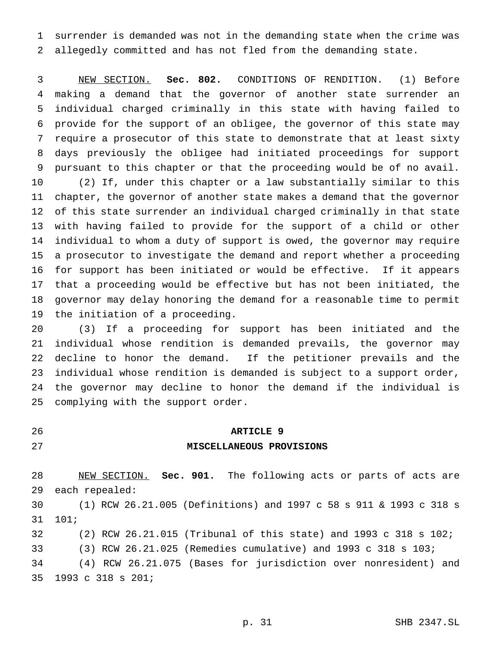surrender is demanded was not in the demanding state when the crime was allegedly committed and has not fled from the demanding state.

 NEW SECTION. **Sec. 802.** CONDITIONS OF RENDITION. (1) Before making a demand that the governor of another state surrender an individual charged criminally in this state with having failed to provide for the support of an obligee, the governor of this state may require a prosecutor of this state to demonstrate that at least sixty days previously the obligee had initiated proceedings for support pursuant to this chapter or that the proceeding would be of no avail. (2) If, under this chapter or a law substantially similar to this chapter, the governor of another state makes a demand that the governor of this state surrender an individual charged criminally in that state with having failed to provide for the support of a child or other individual to whom a duty of support is owed, the governor may require a prosecutor to investigate the demand and report whether a proceeding for support has been initiated or would be effective. If it appears that a proceeding would be effective but has not been initiated, the governor may delay honoring the demand for a reasonable time to permit the initiation of a proceeding.

 (3) If a proceeding for support has been initiated and the individual whose rendition is demanded prevails, the governor may decline to honor the demand. If the petitioner prevails and the individual whose rendition is demanded is subject to a support order, the governor may decline to honor the demand if the individual is complying with the support order.

# **ARTICLE 9**

# **MISCELLANEOUS PROVISIONS**

 NEW SECTION. **Sec. 901.** The following acts or parts of acts are each repealed:

 (1) RCW 26.21.005 (Definitions) and 1997 c 58 s 911 & 1993 c 318 s 101;

 (2) RCW 26.21.015 (Tribunal of this state) and 1993 c 318 s 102; (3) RCW 26.21.025 (Remedies cumulative) and 1993 c 318 s 103; (4) RCW 26.21.075 (Bases for jurisdiction over nonresident) and

1993 c 318 s 201;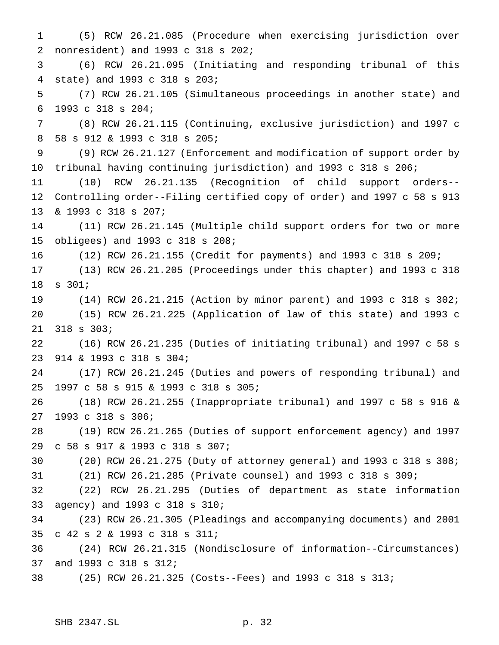(5) RCW 26.21.085 (Procedure when exercising jurisdiction over nonresident) and 1993 c 318 s 202; (6) RCW 26.21.095 (Initiating and responding tribunal of this state) and 1993 c 318 s 203; (7) RCW 26.21.105 (Simultaneous proceedings in another state) and 1993 c 318 s 204; (8) RCW 26.21.115 (Continuing, exclusive jurisdiction) and 1997 c 58 s 912 & 1993 c 318 s 205; (9) RCW 26.21.127 (Enforcement and modification of support order by tribunal having continuing jurisdiction) and 1993 c 318 s 206; (10) RCW 26.21.135 (Recognition of child support orders-- Controlling order--Filing certified copy of order) and 1997 c 58 s 913 & 1993 c 318 s 207; (11) RCW 26.21.145 (Multiple child support orders for two or more obligees) and 1993 c 318 s 208; (12) RCW 26.21.155 (Credit for payments) and 1993 c 318 s 209; (13) RCW 26.21.205 (Proceedings under this chapter) and 1993 c 318 s 301; (14) RCW 26.21.215 (Action by minor parent) and 1993 c 318 s 302; (15) RCW 26.21.225 (Application of law of this state) and 1993 c 318 s 303; (16) RCW 26.21.235 (Duties of initiating tribunal) and 1997 c 58 s 914 & 1993 c 318 s 304; (17) RCW 26.21.245 (Duties and powers of responding tribunal) and 1997 c 58 s 915 & 1993 c 318 s 305; (18) RCW 26.21.255 (Inappropriate tribunal) and 1997 c 58 s 916 & 1993 c 318 s 306; (19) RCW 26.21.265 (Duties of support enforcement agency) and 1997 c 58 s 917 & 1993 c 318 s 307; (20) RCW 26.21.275 (Duty of attorney general) and 1993 c 318 s 308; (21) RCW 26.21.285 (Private counsel) and 1993 c 318 s 309; (22) RCW 26.21.295 (Duties of department as state information agency) and 1993 c 318 s 310; (23) RCW 26.21.305 (Pleadings and accompanying documents) and 2001 c 42 s 2 & 1993 c 318 s 311; (24) RCW 26.21.315 (Nondisclosure of information--Circumstances) and 1993 c 318 s 312; (25) RCW 26.21.325 (Costs--Fees) and 1993 c 318 s 313;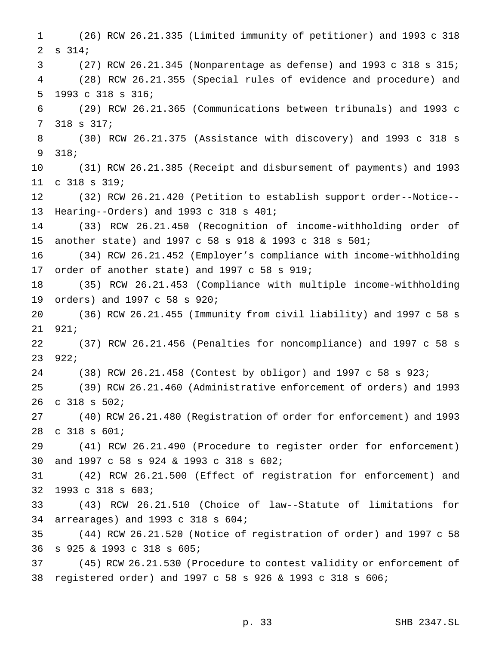(26) RCW 26.21.335 (Limited immunity of petitioner) and 1993 c 318 s 314; (27) RCW 26.21.345 (Nonparentage as defense) and 1993 c 318 s 315; (28) RCW 26.21.355 (Special rules of evidence and procedure) and 1993 c 318 s 316; (29) RCW 26.21.365 (Communications between tribunals) and 1993 c 318 s 317; (30) RCW 26.21.375 (Assistance with discovery) and 1993 c 318 s 318; (31) RCW 26.21.385 (Receipt and disbursement of payments) and 1993 c 318 s 319; (32) RCW 26.21.420 (Petition to establish support order--Notice-- Hearing--Orders) and 1993 c 318 s 401; (33) RCW 26.21.450 (Recognition of income-withholding order of another state) and 1997 c 58 s 918 & 1993 c 318 s 501; (34) RCW 26.21.452 (Employer's compliance with income-withholding order of another state) and 1997 c 58 s 919; (35) RCW 26.21.453 (Compliance with multiple income-withholding orders) and 1997 c 58 s 920; (36) RCW 26.21.455 (Immunity from civil liability) and 1997 c 58 s 921; (37) RCW 26.21.456 (Penalties for noncompliance) and 1997 c 58 s 922; (38) RCW 26.21.458 (Contest by obligor) and 1997 c 58 s 923; (39) RCW 26.21.460 (Administrative enforcement of orders) and 1993 c 318 s 502; (40) RCW 26.21.480 (Registration of order for enforcement) and 1993 c 318 s 601; (41) RCW 26.21.490 (Procedure to register order for enforcement) and 1997 c 58 s 924 & 1993 c 318 s 602; (42) RCW 26.21.500 (Effect of registration for enforcement) and 1993 c 318 s 603; (43) RCW 26.21.510 (Choice of law--Statute of limitations for arrearages) and 1993 c 318 s 604; (44) RCW 26.21.520 (Notice of registration of order) and 1997 c 58 s 925 & 1993 c 318 s 605; (45) RCW 26.21.530 (Procedure to contest validity or enforcement of registered order) and 1997 c 58 s 926 & 1993 c 318 s 606;

p. 33 SHB 2347.SL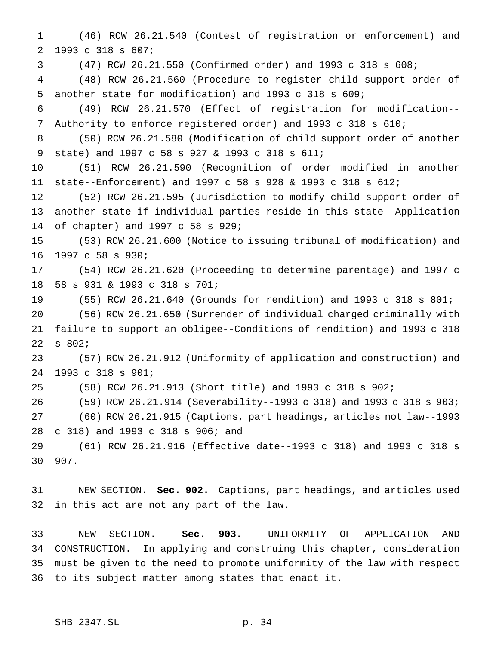(46) RCW 26.21.540 (Contest of registration or enforcement) and 1993 c 318 s 607;

(47) RCW 26.21.550 (Confirmed order) and 1993 c 318 s 608;

 (48) RCW 26.21.560 (Procedure to register child support order of another state for modification) and 1993 c 318 s 609;

 (49) RCW 26.21.570 (Effect of registration for modification-- Authority to enforce registered order) and 1993 c 318 s 610;

 (50) RCW 26.21.580 (Modification of child support order of another state) and 1997 c 58 s 927 & 1993 c 318 s 611;

 (51) RCW 26.21.590 (Recognition of order modified in another state--Enforcement) and 1997 c 58 s 928 & 1993 c 318 s 612;

 (52) RCW 26.21.595 (Jurisdiction to modify child support order of another state if individual parties reside in this state--Application of chapter) and 1997 c 58 s 929;

 (53) RCW 26.21.600 (Notice to issuing tribunal of modification) and 1997 c 58 s 930;

 (54) RCW 26.21.620 (Proceeding to determine parentage) and 1997 c 58 s 931 & 1993 c 318 s 701;

 (55) RCW 26.21.640 (Grounds for rendition) and 1993 c 318 s 801; (56) RCW 26.21.650 (Surrender of individual charged criminally with failure to support an obligee--Conditions of rendition) and 1993 c 318 s 802;

 (57) RCW 26.21.912 (Uniformity of application and construction) and 1993 c 318 s 901;

(58) RCW 26.21.913 (Short title) and 1993 c 318 s 902;

 (59) RCW 26.21.914 (Severability--1993 c 318) and 1993 c 318 s 903; (60) RCW 26.21.915 (Captions, part headings, articles not law--1993 c 318) and 1993 c 318 s 906; and

 (61) RCW 26.21.916 (Effective date--1993 c 318) and 1993 c 318 s 907.

 NEW SECTION. **Sec. 902.** Captions, part headings, and articles used in this act are not any part of the law.

 NEW SECTION. **Sec. 903.** UNIFORMITY OF APPLICATION AND CONSTRUCTION. In applying and construing this chapter, consideration must be given to the need to promote uniformity of the law with respect to its subject matter among states that enact it.